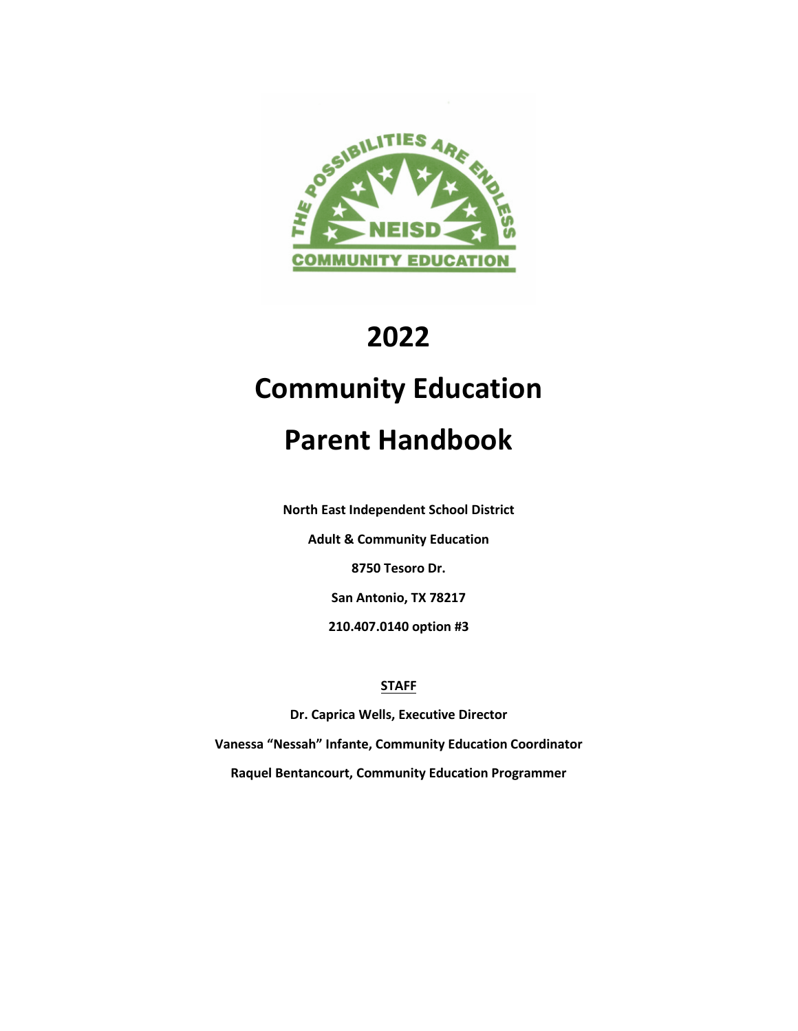

# **2022**

# **Community Education**

# **Parent Handbook**

**North East Independent School District**

**Adult & Community Education**

**8750 Tesoro Dr.**

**San Antonio, TX 78217**

**210.407.0140 option #3**

# **STAFF**

**Dr. Caprica Wells, Executive Director Vanessa "Nessah" Infante, Community Education Coordinator Raquel Bentancourt, Community Education Programmer**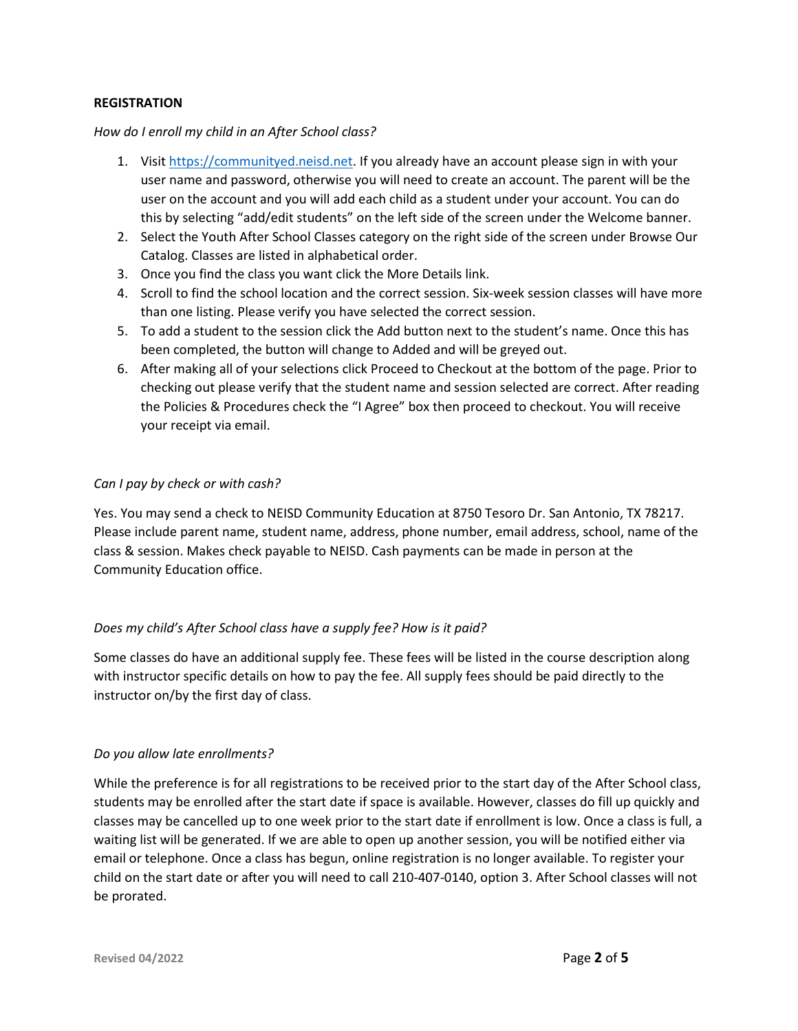#### **REGISTRATION**

#### *How do I enroll my child in an After School class?*

- 1. Visit [https://communityed.neisd.net.](https://communityed.neisd.net/) If you already have an account please sign in with your user name and password, otherwise you will need to create an account. The parent will be the user on the account and you will add each child as a student under your account. You can do this by selecting "add/edit students" on the left side of the screen under the Welcome banner.
- 2. Select the Youth After School Classes category on the right side of the screen under Browse Our Catalog. Classes are listed in alphabetical order.
- 3. Once you find the class you want click the More Details link.
- 4. Scroll to find the school location and the correct session. Six-week session classes will have more than one listing. Please verify you have selected the correct session.
- 5. To add a student to the session click the Add button next to the student's name. Once this has been completed, the button will change to Added and will be greyed out.
- 6. After making all of your selections click Proceed to Checkout at the bottom of the page. Prior to checking out please verify that the student name and session selected are correct. After reading the Policies & Procedures check the "I Agree" box then proceed to checkout. You will receive your receipt via email.

# *Can I pay by check or with cash?*

Yes. You may send a check to NEISD Community Education at 8750 Tesoro Dr. San Antonio, TX 78217. Please include parent name, student name, address, phone number, email address, school, name of the class & session. Makes check payable to NEISD. Cash payments can be made in person at the Community Education office.

# *Does my child's After School class have a supply fee? How is it paid?*

Some classes do have an additional supply fee. These fees will be listed in the course description along with instructor specific details on how to pay the fee. All supply fees should be paid directly to the instructor on/by the first day of class.

# *Do you allow late enrollments?*

While the preference is for all registrations to be received prior to the start day of the After School class, students may be enrolled after the start date if space is available. However, classes do fill up quickly and classes may be cancelled up to one week prior to the start date if enrollment is low. Once a class is full, a waiting list will be generated. If we are able to open up another session, you will be notified either via email or telephone. Once a class has begun, online registration is no longer available. To register your child on the start date or after you will need to call 210-407-0140, option 3. After School classes will not be prorated.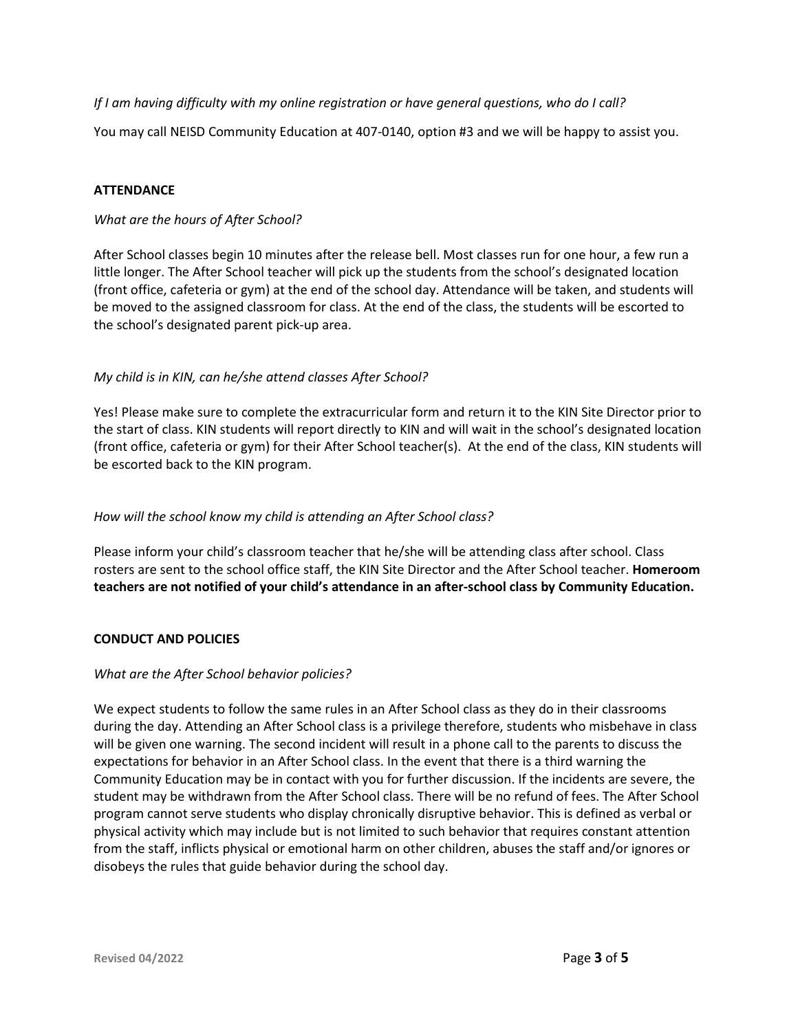*If I am having difficulty with my online registration or have general questions, who do I call?*

You may call NEISD Community Education at 407-0140, option #3 and we will be happy to assist you.

# **ATTENDANCE**

# *What are the hours of After School?*

After School classes begin 10 minutes after the release bell. Most classes run for one hour, a few run a little longer. The After School teacher will pick up the students from the school's designated location (front office, cafeteria or gym) at the end of the school day. Attendance will be taken, and students will be moved to the assigned classroom for class. At the end of the class, the students will be escorted to the school's designated parent pick-up area.

# *My child is in KIN, can he/she attend classes After School?*

Yes! Please make sure to complete the extracurricular form and return it to the KIN Site Director prior to the start of class. KIN students will report directly to KIN and will wait in the school's designated location (front office, cafeteria or gym) for their After School teacher(s). At the end of the class, KIN students will be escorted back to the KIN program.

# *How will the school know my child is attending an After School class?*

Please inform your child's classroom teacher that he/she will be attending class after school. Class rosters are sent to the school office staff, the KIN Site Director and the After School teacher. **Homeroom teachers are not notified of your child's attendance in an after-school class by Community Education.** 

# **CONDUCT AND POLICIES**

# *What are the After School behavior policies?*

We expect students to follow the same rules in an After School class as they do in their classrooms during the day. Attending an After School class is a privilege therefore, students who misbehave in class will be given one warning. The second incident will result in a phone call to the parents to discuss the expectations for behavior in an After School class. In the event that there is a third warning the Community Education may be in contact with you for further discussion. If the incidents are severe, the student may be withdrawn from the After School class. There will be no refund of fees. The After School program cannot serve students who display chronically disruptive behavior. This is defined as verbal or physical activity which may include but is not limited to such behavior that requires constant attention from the staff, inflicts physical or emotional harm on other children, abuses the staff and/or ignores or disobeys the rules that guide behavior during the school day.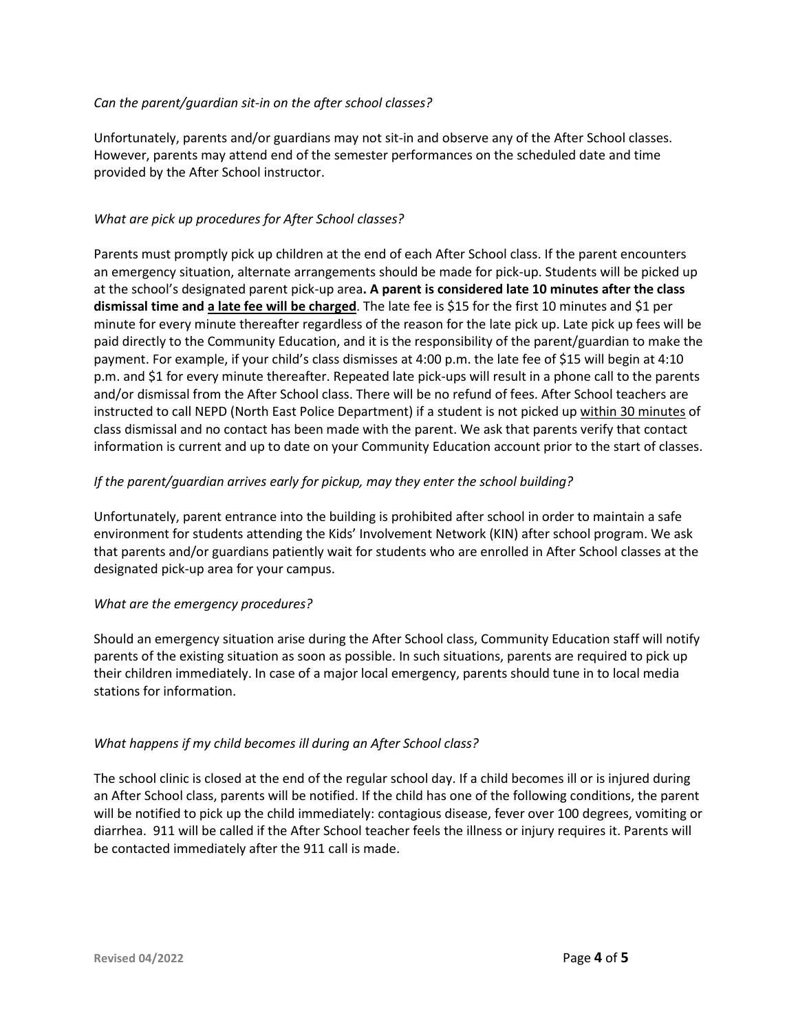#### *Can the parent/guardian sit-in on the after school classes?*

Unfortunately, parents and/or guardians may not sit-in and observe any of the After School classes. However, parents may attend end of the semester performances on the scheduled date and time provided by the After School instructor.

# *What are pick up procedures for After School classes?*

Parents must promptly pick up children at the end of each After School class. If the parent encounters an emergency situation, alternate arrangements should be made for pick-up. Students will be picked up at the school's designated parent pick-up area**. A parent is considered late 10 minutes after the class dismissal time and a late fee will be charged**. The late fee is \$15 for the first 10 minutes and \$1 per minute for every minute thereafter regardless of the reason for the late pick up. Late pick up fees will be paid directly to the Community Education, and it is the responsibility of the parent/guardian to make the payment. For example, if your child's class dismisses at 4:00 p.m. the late fee of \$15 will begin at 4:10 p.m. and \$1 for every minute thereafter. Repeated late pick-ups will result in a phone call to the parents and/or dismissal from the After School class. There will be no refund of fees. After School teachers are instructed to call NEPD (North East Police Department) if a student is not picked up within 30 minutes of class dismissal and no contact has been made with the parent. We ask that parents verify that contact information is current and up to date on your Community Education account prior to the start of classes.

# *If the parent/guardian arrives early for pickup, may they enter the school building?*

Unfortunately, parent entrance into the building is prohibited after school in order to maintain a safe environment for students attending the Kids' Involvement Network (KIN) after school program. We ask that parents and/or guardians patiently wait for students who are enrolled in After School classes at the designated pick-up area for your campus.

# *What are the emergency procedures?*

Should an emergency situation arise during the After School class, Community Education staff will notify parents of the existing situation as soon as possible. In such situations, parents are required to pick up their children immediately. In case of a major local emergency, parents should tune in to local media stations for information.

# *What happens if my child becomes ill during an After School class?*

The school clinic is closed at the end of the regular school day. If a child becomes ill or is injured during an After School class, parents will be notified. If the child has one of the following conditions, the parent will be notified to pick up the child immediately: contagious disease, fever over 100 degrees, vomiting or diarrhea. 911 will be called if the After School teacher feels the illness or injury requires it. Parents will be contacted immediately after the 911 call is made.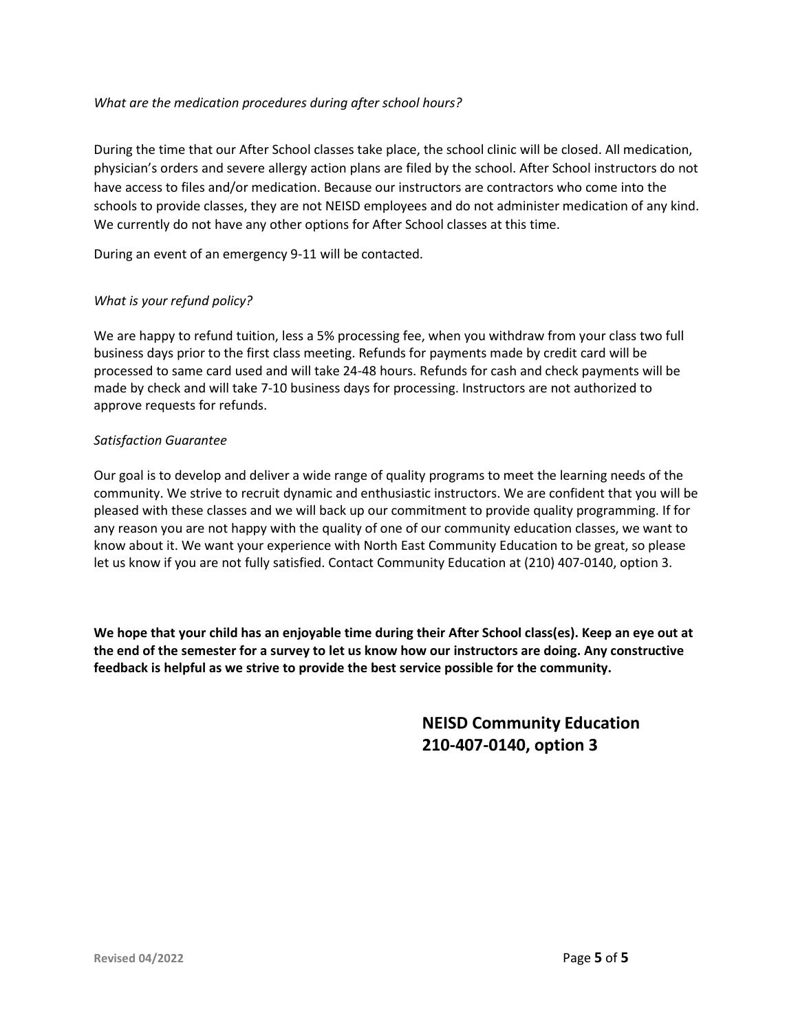# *What are the medication procedures during after school hours?*

During the time that our After School classes take place, the school clinic will be closed. All medication, physician's orders and severe allergy action plans are filed by the school. After School instructors do not have access to files and/or medication. Because our instructors are contractors who come into the schools to provide classes, they are not NEISD employees and do not administer medication of any kind. We currently do not have any other options for After School classes at this time.

During an event of an emergency 9-11 will be contacted.

# *What is your refund policy?*

We are happy to refund tuition, less a 5% processing fee, when you withdraw from your class two full business days prior to the first class meeting. Refunds for payments made by credit card will be processed to same card used and will take 24-48 hours. Refunds for cash and check payments will be made by check and will take 7-10 business days for processing. Instructors are not authorized to approve requests for refunds.

# *Satisfaction Guarantee*

Our goal is to develop and deliver a wide range of quality programs to meet the learning needs of the community. We strive to recruit dynamic and enthusiastic instructors. We are confident that you will be pleased with these classes and we will back up our commitment to provide quality programming. If for any reason you are not happy with the quality of one of our community education classes, we want to know about it. We want your experience with North East Community Education to be great, so please let us know if you are not fully satisfied. Contact Community Education at (210) 407-0140, option 3.

**We hope that your child has an enjoyable time during their After School class(es). Keep an eye out at the end of the semester for a survey to let us know how our instructors are doing. Any constructive feedback is helpful as we strive to provide the best service possible for the community.** 

> **NEISD Community Education 210-407-0140, option 3**